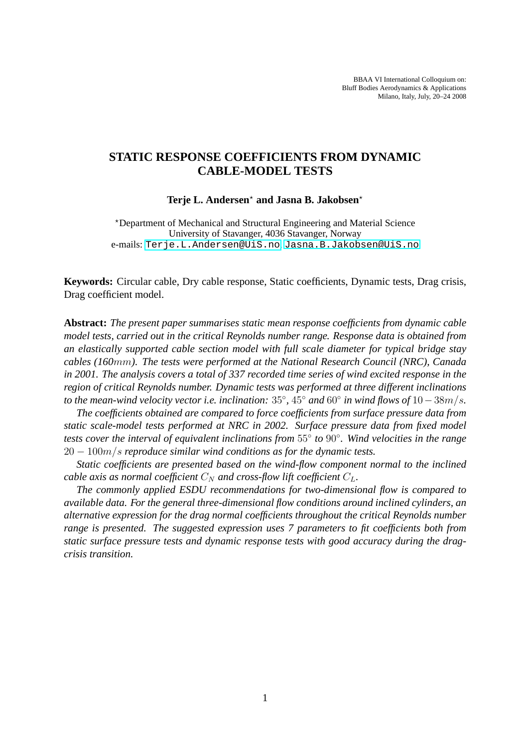BBAA VI International Colloquium on: Bluff Bodies Aerodynamics & Applications Milano, Italy, July, 20–24 2008

# **STATIC RESPONSE COEFFICIENTS FROM DYNAMIC CABLE-MODEL TESTS**

#### Terje L. Andersen<sup>\*</sup> and Jasna B. Jakobsen<sup>\*</sup>

<sup>⋆</sup>Department of Mechanical and Structural Engineering and Material Science University of Stavanger, 4036 Stavanger, Norway e-mails: <Terje.L.Andersen@UiS.no>, <Jasna.B.Jakobsen@UiS.no>

**Keywords:** Circular cable, Dry cable response, Static coefficients, Dynamic tests, Drag crisis, Drag coefficient model.

**Abstract:** *The present paper summarises static mean response coefficients from dynamic cable model tests, carried out in the critical Reynolds number range. Response data is obtained from an elastically supported cable section model with full scale diameter for typical bridge stay cables (160*mm*). The tests were performed at the National Research Council (NRC), Canada in 2001. The analysis covers a total of 337 recorded time series of wind excited response in the region of critical Reynolds number. Dynamic tests was performed at three different inclinations to the mean-wind velocity vector i.e. inclination:* 35◦ *,* 45◦ *and* 60◦ *in wind flows of* 10−38m/s*.*

*The coefficients obtained are compared to force coefficients from surface pressure data from static scale-model tests performed at NRC in 2002. Surface pressure data from fixed model tests cover the interval of equivalent inclinations from* 55◦ *to* 90◦ *. Wind velocities in the range* 20 − 100m/s *reproduce similar wind conditions as for the dynamic tests.*

*Static coefficients are presented based on the wind-flow component normal to the inclined cable axis as normal coefficient*  $C_N$  *and cross-flow lift coefficient*  $C_L$ .

*The commonly applied ESDU recommendations for two-dimensional flow is compared to available data. For the general three-dimensional flow conditions around inclined cylinders, an alternative expression for the drag normal coefficients throughout the critical Reynolds number range is presented. The suggested expression uses 7 parameters to fit coefficients both from static surface pressure tests and dynamic response tests with good accuracy during the dragcrisis transition.*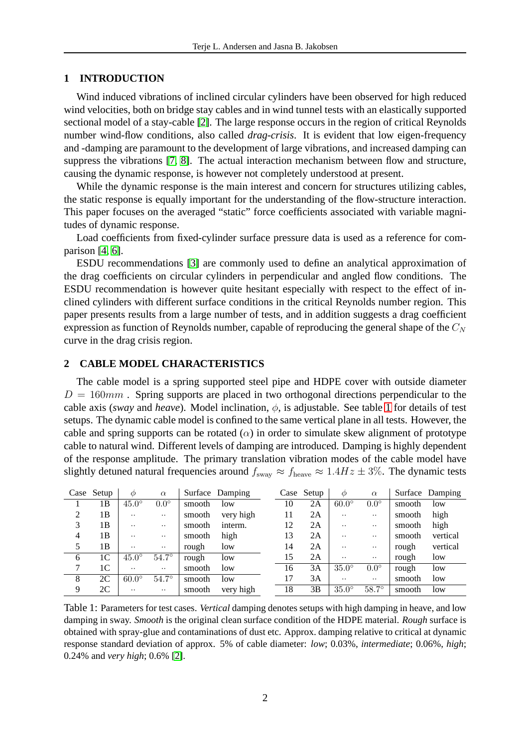## **1 INTRODUCTION**

Wind induced vibrations of inclined circular cylinders have been observed for high reduced wind velocities, both on bridge stay cables and in wind tunnel tests with an elastically supported sectional model of a stay-cable [\[2\]](#page-12-0). The large response occurs in the region of critical Reynolds number wind-flow conditions, also called *drag-crisis*. It is evident that low eigen-frequency and -damping are paramount to the development of large vibrations, and increased damping can suppress the vibrations [\[7,](#page-13-0) [8\]](#page-13-1). The actual interaction mechanism between flow and structure, causing the dynamic response, is however not completely understood at present.

While the dynamic response is the main interest and concern for structures utilizing cables, the static response is equally important for the understanding of the flow-structure interaction. This paper focuses on the averaged "static" force coefficients associated with variable magnitudes of dynamic response.

Load coefficients from fixed-cylinder surface pressure data is used as a reference for comparison [\[4,](#page-12-1) [6\]](#page-13-2).

ESDU recommendations [\[3\]](#page-12-2) are commonly used to define an analytical approximation of the drag coefficients on circular cylinders in perpendicular and angled flow conditions. The ESDU recommendation is however quite hesitant especially with respect to the effect of inclined cylinders with different surface conditions in the critical Reynolds number region. This paper presents results from a large number of tests, and in addition suggests a drag coefficient expression as function of Reynolds number, capable of reproducing the general shape of the  $C<sub>N</sub>$ curve in the drag crisis region.

# **2 CABLE MODEL CHARACTERISTICS**

The cable model is a spring supported steel pipe and HDPE cover with outside diameter  $D = 160mm$ . Spring supports are placed in two orthogonal directions perpendicular to the cable axis (*sway* and *heave*). Model inclination,  $\phi$ , is adjustable. See table [1](#page-1-0) for details of test setups. The dynamic cable model is confined to the same vertical plane in all tests. However, the cable and spring supports can be rotated  $(\alpha)$  in order to simulate skew alignment of prototype cable to natural wind. Different levels of damping are introduced. Damping is highly dependent of the response amplitude. The primary translation vibration modes of the cable model have slightly detuned natural frequencies around  $f_{\text{sway}} \approx f_{\text{heavy}} \approx 1.4 Hz \pm 3\%$ . The dynamic tests

|   | Case Setup | $\varphi$    | $\alpha$     |        | Surface Damping |    | Case Setup | $\varphi$    | $\alpha$      |        | Surface Damping |
|---|------------|--------------|--------------|--------|-----------------|----|------------|--------------|---------------|--------|-----------------|
|   | 1B         | $45.0^\circ$ | $0.0^\circ$  | smooth | low             | 10 | 2A         | $60.0^\circ$ | $0.0^\circ$   | smooth | low             |
| 2 | 1Β         | $\cdot$ .    | $\ddotsc$    | smooth | very high       | 11 | 2A         |              | $\cdot$ .     | smooth | high            |
| 3 | 1В         | $\cdot$ .    | $\ddotsc$    | smooth | interm.         | 12 | 2Α         |              | $\cdot \cdot$ | smooth | high            |
| 4 | 1Β         | $\cdot$ .    | $\ddotsc$    | smooth | high            | 13 | 2Α         | . .          | $\cdot$ .     | smooth | vertical        |
| 5 | 1В         | $\cdot$ .    |              | rough  | low             | 14 | 2Α         | . .          | $\cdot \cdot$ | rough  | vertical        |
| 6 | 1C         | $45.0^\circ$ | $54.7^\circ$ | rough  | low             | 15 | 2A         | . .          | $\ddotsc$     | rough  | low             |
| 7 | 1C         | $\cdot$ .    | $\cdot$ .    | smooth | low             | 16 | 3A         | $35.0^\circ$ | $0.0^\circ$   | rough  | low             |
| 8 | 2C         | $60.0^\circ$ | $54.7^\circ$ | smooth | low             | 17 | 3A         | . .          | $\cdot \cdot$ | smooth | low             |
| 9 | 2C         | $\cdot$ .    |              | smooth | very high       | 18 | 3B         | $35.0^\circ$ | $58.7^\circ$  | smooth | low             |

<span id="page-1-0"></span>Table 1: Parameters for test cases. *Vertical* damping denotes setups with high damping in heave, and low damping in sway. *Smooth* is the original clean surface condition of the HDPE material. *Rough* surface is obtained with spray-glue and contaminations of dust etc. Approx. damping relative to critical at dynamic response standard deviation of approx. 5% of cable diameter: *low*; 0.03%, *intermediate*; 0.06%, *high*; 0.24% and *very high*; 0.6% [\[2\]](#page-12-0).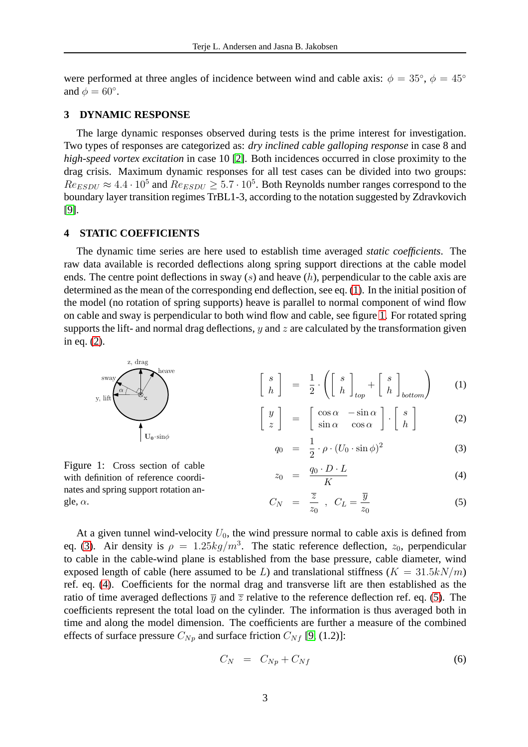were performed at three angles of incidence between wind and cable axis:  $\phi = 35^{\circ}$ ,  $\phi = 45^{\circ}$ and  $\phi = 60^\circ$ .

## **3 DYNAMIC RESPONSE**

The large dynamic responses observed during tests is the prime interest for investigation. Two types of responses are categorized as: *dry inclined cable galloping response* in case 8 and *high-speed vortex excitation* in case 10 [\[2\]](#page-12-0). Both incidences occurred in close proximity to the drag crisis. Maximum dynamic responses for all test cases can be divided into two groups:  $Re_{ESDU} \approx 4.4 \cdot 10^5$  and  $Re_{ESDU} \ge 5.7 \cdot 10^5$ . Both Reynolds number ranges correspond to the boundary layer transition regimes TrBL1-3, according to the notation suggested by Zdravkovich [\[9\]](#page-13-3).

## **4 STATIC COEFFICIENTS**

The dynamic time series are here used to establish time averaged *static coefficients*. The raw data available is recorded deflections along spring support directions at the cable model ends. The centre point deflections in sway  $(s)$  and heave  $(h)$ , perpendicular to the cable axis are determined as the mean of the corresponding end deflection, see eq. [\(1\)](#page-2-0). In the initial position of the model (no rotation of spring supports) heave is parallel to normal component of wind flow on cable and sway is perpendicular to both wind flow and cable, see figure [1.](#page-2-1) For rotated spring supports the lift- and normal drag deflections,  $y$  and  $z$  are calculated by the transformation given in eq. [\(2\)](#page-2-0).



<span id="page-2-0"></span>
$$
q_0 = \frac{1}{2} \cdot \rho \cdot (U_0 \cdot \sin \phi)^2 \tag{3}
$$

<span id="page-2-1"></span>Figure 1: Cross section of cable with definition of reference coordinates and spring support rotation angle,  $\alpha$ .

$$
z_0 = \frac{q_0 \cdot D \cdot L}{K} \tag{4}
$$

$$
C_N = \frac{\overline{z}}{z_0} , C_L = \frac{\overline{y}}{z_0}
$$
 (5)

At a given tunnel wind-velocity  $U_0$ , the wind pressure normal to cable axis is defined from eq. [\(3\)](#page-2-0). Air density is  $\rho = 1.25 \frac{kg}{m^3}$ . The static reference deflection,  $z_0$ , perpendicular to cable in the cable-wind plane is established from the base pressure, cable diameter, wind exposed length of cable (here assumed to be L) and translational stiffness ( $K = 31.5kN/m$ ) ref. eq. [\(4\)](#page-2-0). Coefficients for the normal drag and transverse lift are then established as the ratio of time averaged deflections  $\overline{y}$  and  $\overline{z}$  relative to the reference deflection ref. eq. [\(5\)](#page-2-0). The coefficients represent the total load on the cylinder. The information is thus averaged both in time and along the model dimension. The coefficients are further a measure of the combined effects of surface pressure  $C_{N_p}$  and surface friction  $C_{N_f}$  [\[9,](#page-13-3) (1.2)]:

<span id="page-2-2"></span>
$$
C_N = C_{Np} + C_{Nf} \tag{6}
$$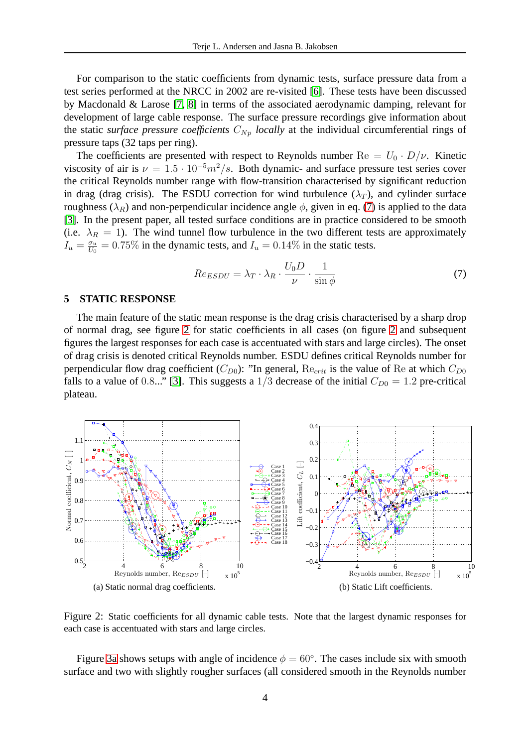For comparison to the static coefficients from dynamic tests, surface pressure data from a test series performed at the NRCC in 2002 are re-visited [\[6\]](#page-13-2). These tests have been discussed by Macdonald & Larose [\[7,](#page-13-0) [8\]](#page-13-1) in terms of the associated aerodynamic damping, relevant for development of large cable response. The surface pressure recordings give information about the static *surface pressure coefficients*  $C_{N_p}$  *locally* at the individual circumferential rings of pressure taps (32 taps per ring).

The coefficients are presented with respect to Reynolds number  $\text{Re} = U_0 \cdot D/\nu$ . Kinetic viscosity of air is  $\nu = 1.5 \cdot 10^{-5} m^2/s$ . Both dynamic- and surface pressure test series cover the critical Reynolds number range with flow-transition characterised by significant reduction in drag (drag crisis). The ESDU correction for wind turbulence  $(\lambda_T)$ , and cylinder surface roughness ( $\lambda_R$ ) and non-perpendicular incidence angle  $\phi$ , given in eq. [\(7\)](#page-3-0) is applied to the data [\[3\]](#page-12-2). In the present paper, all tested surface conditions are in practice considered to be smooth (i.e.  $\lambda_R = 1$ ). The wind tunnel flow turbulence in the two different tests are approximately  $I_u = \frac{\sigma_u}{U_0}$  $\frac{\sigma_u}{U_0} = 0.75\%$  in the dynamic tests, and  $I_u = 0.14\%$  in the static tests.

<span id="page-3-0"></span>
$$
Re_{ESDU} = \lambda_T \cdot \lambda_R \cdot \frac{U_0 D}{\nu} \cdot \frac{1}{\sin \phi} \tag{7}
$$

### **5 STATIC RESPONSE**

The main feature of the static mean response is the drag crisis characterised by a sharp drop of normal drag, see figure [2](#page-3-1) for static coefficients in all cases (on figure [2](#page-3-1) and subsequent figures the largest responses for each case is accentuated with stars and large circles). The onset of drag crisis is denoted critical Reynolds number. ESDU defines critical Reynolds number for perpendicular flow drag coefficient  $(C_{D0})$ : "In general,  $\text{Re}_{crit}$  is the value of Re at which  $C_{D0}$ falls to a value of 0.8..." [\[3\]](#page-12-2). This suggests a  $1/3$  decrease of the initial  $C_{D0} = 1.2$  pre-critical plateau.



<span id="page-3-1"></span>Figure 2: Static coefficients for all dynamic cable tests. Note that the largest dynamic responses for each case is accentuated with stars and large circles.

Figure [3a](#page-4-0) shows setups with angle of incidence  $\phi = 60^{\circ}$ . The cases include six with smooth surface and two with slightly rougher surfaces (all considered smooth in the Reynolds number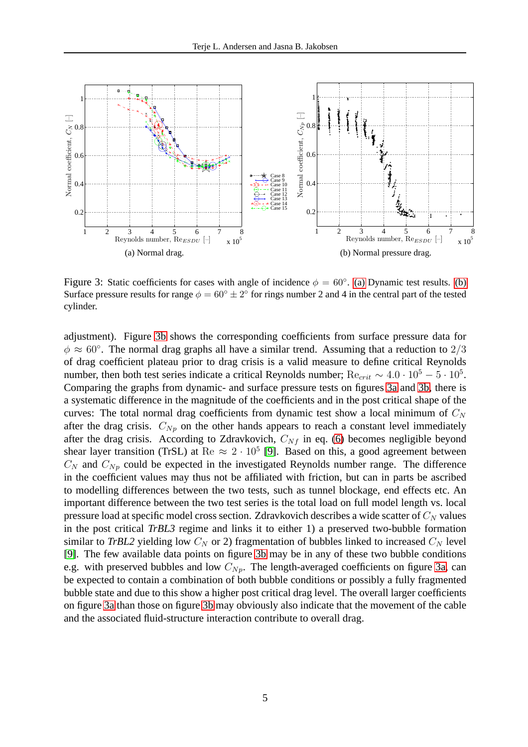<span id="page-4-0"></span>

<span id="page-4-2"></span><span id="page-4-1"></span>Figure 3: Static coefficients for cases with angle of incidence  $\phi = 60^{\circ}$ . [\(a\)](#page-4-0) Dynamic test results. [\(b\)](#page-4-1) Surface pressure results for range  $\phi = 60^\circ \pm 2^\circ$  for rings number 2 and 4 in the central part of the tested cylinder.

adjustment). Figure [3b](#page-4-1) shows the corresponding coefficients from surface pressure data for  $\phi \approx 60^{\circ}$ . The normal drag graphs all have a similar trend. Assuming that a reduction to  $2/3$ of drag coefficient plateau prior to drag crisis is a valid measure to define critical Reynolds number, then both test series indicate a critical Reynolds number;  $Re_{crit} \sim 4.0 \cdot 10^5 - 5 \cdot 10^5$ . Comparing the graphs from dynamic- and surface pressure tests on figures [3a](#page-4-0) and [3b,](#page-4-1) there is a systematic difference in the magnitude of the coefficients and in the post critical shape of the curves: The total normal drag coefficients from dynamic test show a local minimum of  $C<sub>N</sub>$ after the drag crisis.  $C_{N_p}$  on the other hands appears to reach a constant level immediately after the drag crisis. According to Zdravkovich,  $C_{Nf}$  in eq. [\(6\)](#page-2-2) becomes negligible beyond shear layer transition (TrSL) at Re  $\approx 2 \cdot 10^5$  [\[9\]](#page-13-3). Based on this, a good agreement between  $C_N$  and  $C_{Np}$  could be expected in the investigated Reynolds number range. The difference in the coefficient values may thus not be affiliated with friction, but can in parts be ascribed to modelling differences between the two tests, such as tunnel blockage, end effects etc. An important difference between the two test series is the total load on full model length vs. local pressure load at specific model cross section. Zdravkovich describes a wide scatter of  $C<sub>N</sub>$  values in the post critical *TrBL3* regime and links it to either 1) a preserved two-bubble formation similar to *TrBL2* yielding low  $C_N$  or 2) fragmentation of bubbles linked to increased  $C_N$  level [\[9\]](#page-13-3). The few available data points on figure [3b](#page-4-1) may be in any of these two bubble conditions e.g. with preserved bubbles and low  $C_{Np}$ . The length-averaged coefficients on figure [3a,](#page-4-0) can be expected to contain a combination of both bubble conditions or possibly a fully fragmented bubble state and due to this show a higher post critical drag level. The overall larger coefficients on figure [3a](#page-4-0) than those on figure [3b](#page-4-1) may obviously also indicate that the movement of the cable and the associated fluid-structure interaction contribute to overall drag.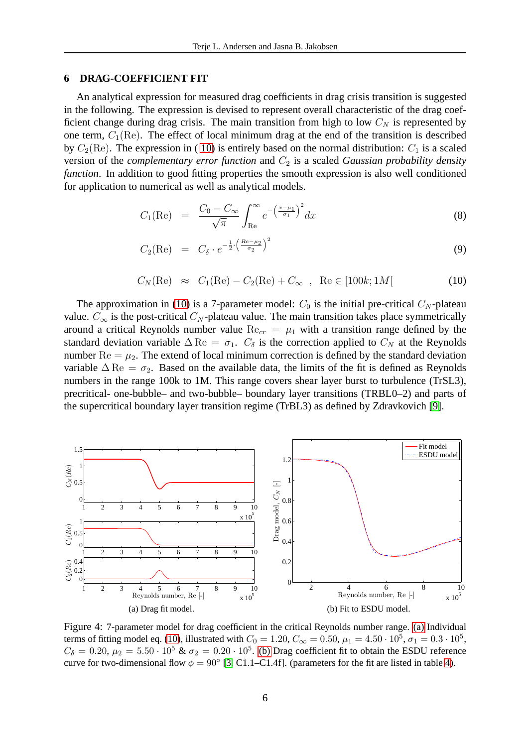### **6 DRAG-COEFFICIENT FIT**

An analytical expression for measured drag coefficients in drag crisis transition is suggested in the following. The expression is devised to represent overall characteristic of the drag coefficient change during drag crisis. The main transition from high to low  $C<sub>N</sub>$  is represented by one term,  $C_1(\text{Re})$ . The effect of local minimum drag at the end of the transition is described by  $C_2(\text{Re})$ . The expression in (10) is entirely based on the normal distribution:  $C_1$  is a scaled version of the *complementary error function* and  $C_2$  is a scaled *Gaussian probability density function*. In addition to good fitting properties the smooth expression is also well conditioned for application to numerical as well as analytical models.

<span id="page-5-0"></span>
$$
C_1(\text{Re}) = \frac{C_0 - C_{\infty}}{\sqrt{\pi}} \int_{\text{Re}}^{\infty} e^{-\left(\frac{x-\mu_1}{\sigma_1}\right)^2} dx \tag{8}
$$

$$
C_2(\text{Re}) = C_{\delta} \cdot e^{-\frac{1}{2} \cdot \left(\frac{Re - \mu_2}{\sigma_2}\right)^2}
$$
\n(9)

$$
C_N(\text{Re}) \approx C_1(\text{Re}) - C_2(\text{Re}) + C_{\infty}
$$
, Re  $\in [100k; 1M]$  (10)

The approximation in [\(10\)](#page-5-0) is a 7-parameter model:  $C_0$  is the initial pre-critical  $C_N$ -plateau value.  $C_{\infty}$  is the post-critical  $C_N$ -plateau value. The main transition takes place symmetrically around a critical Reynolds number value  $\text{Re}_{cr} = \mu_1$  with a transition range defined by the standard deviation variable  $\Delta$  Re =  $\sigma_1$ .  $C_\delta$  is the correction applied to  $C_N$  at the Reynolds number  $\text{Re} = \mu_2$ . The extend of local minimum correction is defined by the standard deviation variable  $\Delta \text{Re} = \sigma_2$ . Based on the available data, the limits of the fit is defined as Reynolds numbers in the range 100k to 1M. This range covers shear layer burst to turbulence (TrSL3), precritical- one-bubble– and two-bubble– boundary layer transitions (TRBL0–2) and parts of the supercritical boundary layer transition regime (TrBL3) as defined by Zdravkovich [\[9\]](#page-13-3).

<span id="page-5-1"></span>

<span id="page-5-2"></span>Figure 4: 7-parameter model for drag coefficient in the critical Reynolds number range. [\(a\)](#page-5-1) Individual terms of fitting model eq. [\(10\)](#page-5-0), illustrated with  $C_0 = 1.20, C_\infty = 0.50, \mu_1 = 4.50 \cdot 10^5, \sigma_1 = 0.3 \cdot 10^5,$  $C_{\delta} = 0.20, \mu_2 = 5.50 \cdot 10^5$  &  $\sigma_2 = 0.20 \cdot 10^5$ . [\(b\)](#page-5-2) Drag coefficient fit to obtain the ESDU reference curve for two-dimensional flow  $\phi = 90^{\circ}$  [\[3,](#page-12-2) C1.1–C1.4f]. (parameters for the fit are listed in table [4\)](#page-10-0).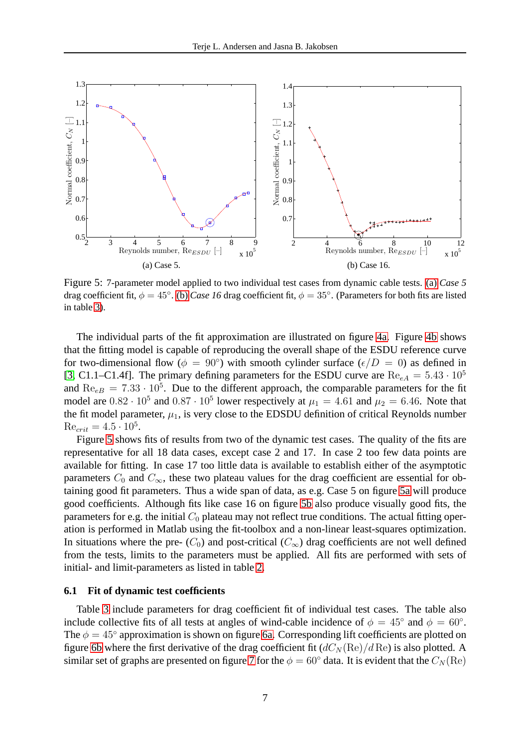<span id="page-6-0"></span>

<span id="page-6-2"></span><span id="page-6-1"></span>Figure 5: 7-parameter model applied to two individual test cases from dynamic cable tests. [\(a\)](#page-6-0) *Case 5* drag coefficient fit,  $\phi = 45^\circ$ . [\(b\)](#page-6-1) *Case 16* drag coefficient fit,  $\phi = 35^\circ$ . (Parameters for both fits are listed in table [3\)](#page-8-0).

The individual parts of the fit approximation are illustrated on figure [4a.](#page-5-1) Figure [4b](#page-5-2) shows that the fitting model is capable of reproducing the overall shape of the ESDU reference curve for two-dimensional flow  $(\phi = 90^{\circ})$  with smooth cylinder surface  $(\epsilon/D = 0)$  as defined in [\[3,](#page-12-2) C1.1–C1.4f]. The primary defining parameters for the ESDU curve are  $\text{Re}_{eA} = 5.43 \cdot 10^5$ and  $\text{Re}_{eB} = 7.33 \cdot 10^5$ . Due to the different approach, the comparable parameters for the fit model are  $0.82 \cdot 10^5$  and  $0.87 \cdot 10^5$  lower respectively at  $\mu_1 = 4.61$  and  $\mu_2 = 6.46$ . Note that the fit model parameter,  $\mu_1$ , is very close to the EDSDU definition of critical Reynolds number  $\text{Re}_{crit} = 4.5 \cdot 10^5.$ 

Figure [5](#page-6-2) shows fits of results from two of the dynamic test cases. The quality of the fits are representative for all 18 data cases, except case 2 and 17. In case 2 too few data points are available for fitting. In case 17 too little data is available to establish either of the asymptotic parameters  $C_0$  and  $C_{\infty}$ , these two plateau values for the drag coefficient are essential for obtaining good fit parameters. Thus a wide span of data, as e.g. Case 5 on figure [5a](#page-6-0) will produce good coefficients. Although fits like case 16 on figure [5b](#page-6-1) also produce visually good fits, the parameters for e.g. the initial  $C_0$  plateau may not reflect true conditions. The actual fitting operation is performed in Matlab using the fit-toolbox and a non-linear least-squares optimization. In situations where the pre-  $(C_0)$  and post-critical  $(C_{\infty})$  drag coefficients are not well defined from the tests, limits to the parameters must be applied. All fits are performed with sets of initial- and limit-parameters as listed in table [2.](#page-7-0)

#### **6.1 Fit of dynamic test coefficients**

Table [3](#page-8-0) include parameters for drag coefficient fit of individual test cases. The table also include collective fits of all tests at angles of wind-cable incidence of  $\phi = 45^\circ$  and  $\phi = 60^\circ$ . The  $\phi = 45^\circ$  approximation is shown on figure [6a.](#page-7-1) Corresponding lift coefficients are plotted on figure [6b](#page-7-2) where the first derivative of the drag coefficient fit  $(dC<sub>N</sub>(Re)/d Re)$  is also plotted. A similar set of graphs are presented on figure [7](#page-8-1) for the  $\phi = 60^{\circ}$  data. It is evident that the  $C_N(\text{Re})$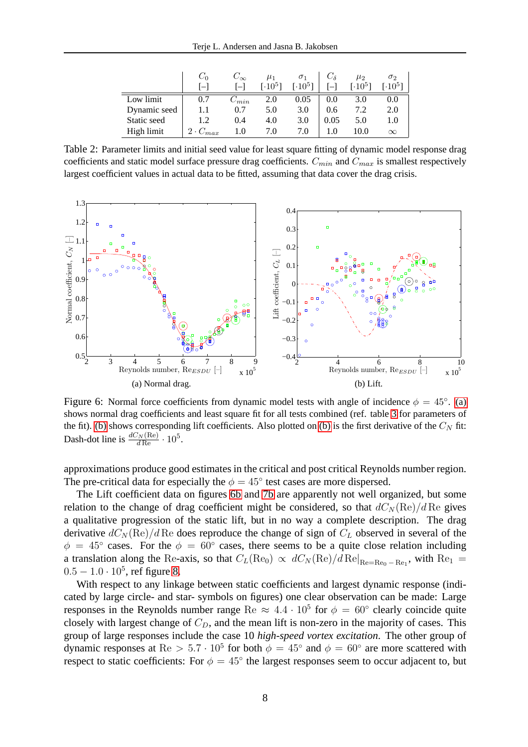|              | $C_{0}$           | $C_{\infty}$ | $\mu_1$           | $\sigma_1$          |      | $\mu_2$           | $\sigma_2$                 |
|--------------|-------------------|--------------|-------------------|---------------------|------|-------------------|----------------------------|
|              | $1 - 1$           | $\Box$       | [ $\cdot10^{5}$ ] | [.10 <sup>5</sup> ] |      | [ $\cdot10^{5}$ ] | $\lceil \cdot 10^5 \rceil$ |
| Low limit    | 0.7               | $C_{min}$    | 2.0               | 0.05                | 0.0  | 3.0               | 0.0                        |
| Dynamic seed |                   | 0.7          | 5.0               | 3.0                 | 0.6  | 7.2               | 2.0                        |
| Static seed  | 1.2               | 0.4          | 4.0               | 3.0                 | 0.05 | 5.0               | 1.0                        |
| High limit   | $2 \cdot C_{max}$ | 1.0          | 7.0               | 7.0                 | 1.0  | 10.0              | $\infty$                   |

<span id="page-7-0"></span>Table 2: Parameter limits and initial seed value for least square fitting of dynamic model response drag coefficients and static model surface pressure drag coefficients.  $C_{min}$  and  $C_{max}$  is smallest respectively largest coefficient values in actual data to be fitted, assuming that data cover the drag crisis.

<span id="page-7-1"></span>

<span id="page-7-3"></span><span id="page-7-2"></span>Figure 6: Normal force coefficients from dynamic model tests with angle of incidence  $\phi = 45^{\circ}$ . [\(a\)](#page-7-1) shows normal drag coefficients and least square fit for all tests combined (ref. table [3](#page-8-0) for parameters of the fit). [\(b\)](#page-7-2) shows corresponding lift coefficients. Also plotted on (b) is the first derivative of the  $C<sub>N</sub>$  fit: Dash-dot line is  $\frac{dC_N(\text{Re})}{d\text{Re}} \cdot 10^5$ .

approximations produce good estimates in the critical and post critical Reynolds number region. The pre-critical data for especially the  $\phi = 45^{\circ}$  test cases are more dispersed.

The Lift coefficient data on figures [6b](#page-7-2) and [7b](#page-8-2) are apparently not well organized, but some relation to the change of drag coefficient might be considered, so that  $dC_N(\text{Re})/d\text{Re}$  gives a qualitative progression of the static lift, but in no way a complete description. The drag derivative  $dC_N(\text{Re})/d$  Re does reproduce the change of sign of  $C_L$  observed in several of the  $\phi = 45^{\circ}$  cases. For the  $\phi = 60^{\circ}$  cases, there seems to be a quite close relation including a translation along the Re-axis, so that  $C_L(\text{Re}_0) \propto dC_N(\text{Re})/d\,\text{Re}|_{\text{Re}=\text{Re}_0-\text{Re}_1}$ , with  $\text{Re}_1 =$  $0.5 - 1.0 \cdot 10^5$ , ref figure [8.](#page-9-0)

With respect to any linkage between static coefficients and largest dynamic response (indicated by large circle- and star- symbols on figures) one clear observation can be made: Large responses in the Reynolds number range Re  $\approx 4.4 \cdot 10^5$  for  $\phi = 60^{\circ}$  clearly coincide quite closely with largest change of  $C_D$ , and the mean lift is non-zero in the majority of cases. This group of large responses include the case 10 *high-speed vortex excitation*. The other group of dynamic responses at Re  $> 5.7 \cdot 10^5$  for both  $\phi = 45^\circ$  and  $\phi = 60^\circ$  are more scattered with respect to static coefficients: For  $\phi = 45^{\circ}$  the largest responses seem to occur adjacent to, but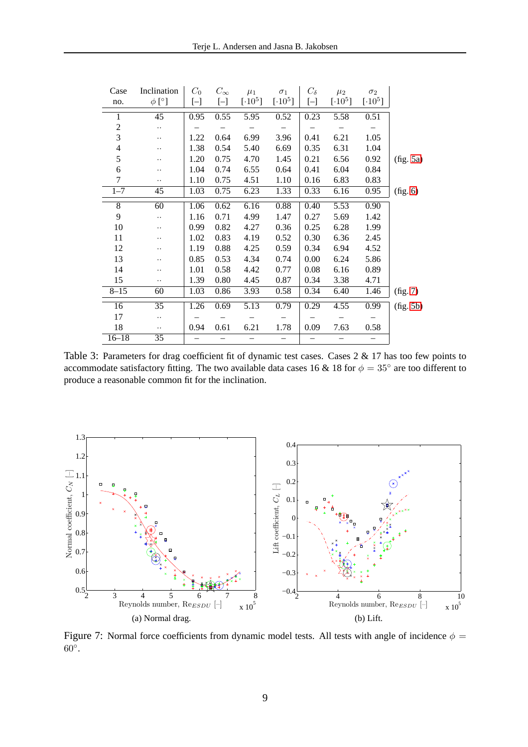| Case            | Inclination          | $C_0$                    | $C_{\infty}$      | $\mu_1$                  | $\sigma_1$               | $C_{\delta}$             | $\mu_2$       | $\sigma_2$    |           |
|-----------------|----------------------|--------------------------|-------------------|--------------------------|--------------------------|--------------------------|---------------|---------------|-----------|
| no.             | $\phi$ [°]           | $\left[ -\right]$        | $\left[ -\right]$ | $[\cdot 10^5]$           | $[\cdot10^5]$            | $[-]$                    | $[\cdot10^5]$ | $[\cdot10^5]$ |           |
| 1               | $\overline{45}$      | 0.95                     | 0.55              | 5.95                     | 0.52                     | 0.23                     | 5.58          | 0.51          |           |
| $\mathfrak{2}$  | $\ddotsc$            |                          |                   |                          |                          |                          |               |               |           |
| 3               | $\ddot{\phantom{0}}$ | 1.22                     | 0.64              | 6.99                     | 3.96                     | 0.41                     | 6.21          | 1.05          |           |
| $\overline{4}$  | $\cdot$              | 1.38                     | 0.54              | 5.40                     | 6.69                     | 0.35                     | 6.31          | 1.04          |           |
| 5               | $\ddotsc$            | 1.20                     | 0.75              | 4.70                     | 1.45                     | 0.21                     | 6.56          | 0.92          | fig. 5a)  |
| 6               |                      | 1.04                     | 0.74              | 6.55                     | 0.64                     | 0.41                     | 6.04          | 0.84          |           |
| 7               | $\ddotsc$            | 1.10                     | 0.75              | 4.51                     | 1.10                     | 0.16                     | 6.83          | 0.83          |           |
| $1 - 7$         | 45                   | 1.03                     | 0.75              | 6.23                     | 1.33                     | 0.33                     | 6.16          | 0.95          | (fig. 6)  |
| 8               | 60                   | 1.06                     | 0.62              | 6.16                     | 0.88                     | 0.40                     | 5.53          | 0.90          |           |
| 9               | $\ddot{\phantom{a}}$ | 1.16                     | 0.71              | 4.99                     | 1.47                     | 0.27                     | 5.69          | 1.42          |           |
| 10              | $\ddotsc$            | 0.99                     | 0.82              | 4.27                     | 0.36                     | 0.25                     | 6.28          | 1.99          |           |
| 11              | $\cdot$              | 1.02                     | 0.83              | 4.19                     | 0.52                     | 0.30                     | 6.36          | 2.45          |           |
| 12              | $\cdot$              | 1.19                     | 0.88              | 4.25                     | 0.59                     | 0.34                     | 6.94          | 4.52          |           |
| 13              | $\cdot$              | 0.85                     | 0.53              | 4.34                     | 0.74                     | 0.00                     | 6.24          | 5.86          |           |
| 14              |                      | 1.01                     | 0.58              | 4.42                     | 0.77                     | 0.08                     | 6.16          | 0.89          |           |
| 15              | $\cdot$ .            | 1.39                     | 0.80              | 4.45                     | 0.87                     | 0.34                     | 3.38          | 4.71          |           |
| $8 - 15$        | 60                   | 1.03                     | 0.86              | 3.93                     | 0.58                     | 0.34                     | 6.40          | 1.46          | (fig. 7)  |
| $\overline{16}$ | 35                   | 1.26                     | 0.69              | 5.13                     | 0.79                     | 0.29                     | 4.55          | 0.99          | (fig. 5b) |
| 17              | $\ddot{\phantom{0}}$ |                          |                   |                          |                          |                          |               |               |           |
| 18              | $\ldots$             | 0.94                     | 0.61              | 6.21                     | 1.78                     | 0.09                     | 7.63          | 0.58          |           |
| $16 - 18$       | $\overline{35}$      | $\overline{\phantom{0}}$ |                   | $\overline{\phantom{0}}$ | $\overline{\phantom{0}}$ | $\overline{\phantom{0}}$ |               |               |           |
|                 |                      |                          |                   |                          |                          |                          |               |               |           |

<span id="page-8-0"></span>Table 3: Parameters for drag coefficient fit of dynamic test cases. Cases 2 & 17 has too few points to accommodate satisfactory fitting. The two available data cases 16 & 18 for  $\phi = 35^\circ$  are too different to produce a reasonable common fit for the inclination.

<span id="page-8-3"></span>

<span id="page-8-2"></span><span id="page-8-1"></span>Figure 7: Normal force coefficients from dynamic model tests. All tests with angle of incidence  $\phi$  =  $60^{\circ}$ .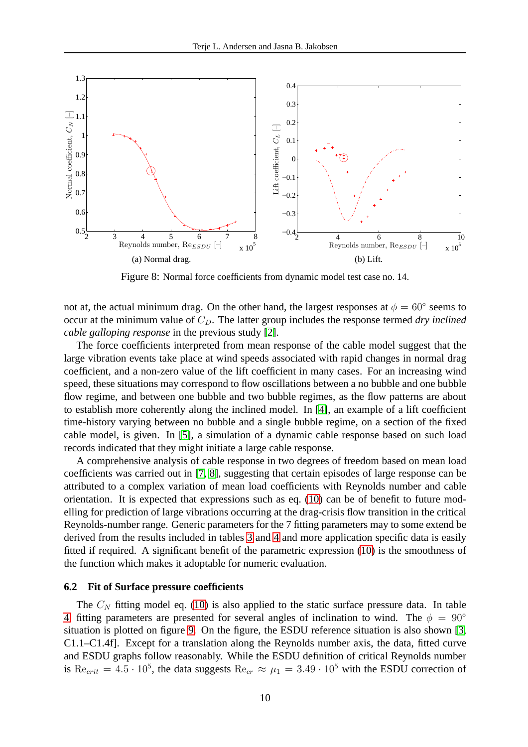

<span id="page-9-0"></span>Figure 8: Normal force coefficients from dynamic model test case no. 14.

not at, the actual minimum drag. On the other hand, the largest responses at  $\phi = 60^{\circ}$  seems to occur at the minimum value of  $C_D$ . The latter group includes the response termed *dry inclined cable galloping response* in the previous study [\[2\]](#page-12-0).

The force coefficients interpreted from mean response of the cable model suggest that the large vibration events take place at wind speeds associated with rapid changes in normal drag coefficient, and a non-zero value of the lift coefficient in many cases. For an increasing wind speed, these situations may correspond to flow oscillations between a no bubble and one bubble flow regime, and between one bubble and two bubble regimes, as the flow patterns are about to establish more coherently along the inclined model. In [\[4\]](#page-12-1), an example of a lift coefficient time-history varying between no bubble and a single bubble regime, on a section of the fixed cable model, is given. In [\[5\]](#page-13-4), a simulation of a dynamic cable response based on such load records indicated that they might initiate a large cable response.

A comprehensive analysis of cable response in two degrees of freedom based on mean load coefficients was carried out in [\[7,](#page-13-0) [8\]](#page-13-1), suggesting that certain episodes of large response can be attributed to a complex variation of mean load coefficients with Reynolds number and cable orientation. It is expected that expressions such as eq. [\(10\)](#page-5-0) can be of benefit to future modelling for prediction of large vibrations occurring at the drag-crisis flow transition in the critical Reynolds-number range. Generic parameters for the 7 fitting parameters may to some extend be derived from the results included in tables [3](#page-8-0) and [4](#page-10-0) and more application specific data is easily fitted if required. A significant benefit of the parametric expression [\(10\)](#page-5-0) is the smoothness of the function which makes it adoptable for numeric evaluation.

### **6.2 Fit of Surface pressure coefficients**

The  $C<sub>N</sub>$  fitting model eq. [\(10\)](#page-5-0) is also applied to the static surface pressure data. In table [4,](#page-10-0) fitting parameters are presented for several angles of inclination to wind. The  $\phi = 90^\circ$ situation is plotted on figure [9.](#page-11-0) On the figure, the ESDU reference situation is also shown [\[3,](#page-12-2) C1.1–C1.4f]. Except for a translation along the Reynolds number axis, the data, fitted curve and ESDU graphs follow reasonably. While the ESDU definition of critical Reynolds number is  $\text{Re}_{crit} = 4.5 \cdot 10^5$ , the data suggests  $\text{Re}_{cr} \approx \mu_1 = 3.49 \cdot 10^5$  with the ESDU correction of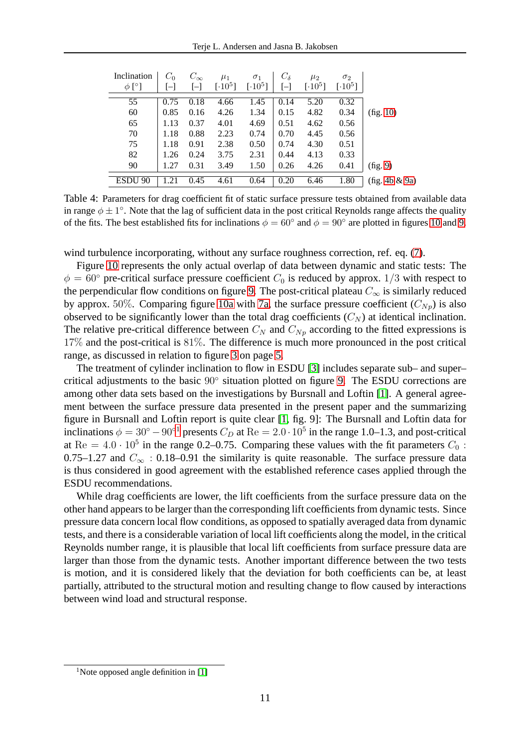| Inclination        | $C_0$ | $C_{\infty}$            | $\mu_1$             | $\sigma_1$                 | $C_{\delta}$     | $\mu_2$                    | $\sigma_2$                 |               |
|--------------------|-------|-------------------------|---------------------|----------------------------|------------------|----------------------------|----------------------------|---------------|
| $\phi$ [°]         | $ - $ | $[\mathord{\text{--}}]$ | [.10 <sup>5</sup> ] | $\lceil \cdot 10^5 \rceil$ | $\left[-\right]$ | $\lceil \cdot 10^5 \rceil$ | $\lceil \cdot 10^5 \rceil$ |               |
| 55                 | 0.75  | 0.18                    | 4.66                | 1.45                       | 0.14             | 5.20                       | 0.32                       |               |
| 60                 | 0.85  | 0.16                    | 4.26                | 1.34                       | 0.15             | 4.82                       | 0.34                       | (fig. 10)     |
| 65                 | 1.13  | 0.37                    | 4.01                | 4.69                       | 0.51             | 4.62                       | 0.56                       |               |
| 70                 | 1.18  | 0.88                    | 2.23                | 0.74                       | 0.70             | 4.45                       | 0.56                       |               |
| 75                 | 1.18  | 0.91                    | 2.38                | 0.50                       | 0.74             | 4.30                       | 0.51                       |               |
| 82                 | 1.26  | 0.24                    | 3.75                | 2.31                       | 0.44             | 4.13                       | 0.33                       |               |
| 90                 | 1.27  | 0.31                    | 3.49                | 1.50                       | 0.26             | 4.26                       | 0.41                       | (fig. 9)      |
| ESDU <sub>90</sub> | .21   | 0.45                    | 4.61                | 0.64                       | 0.20             | 6.46                       | 1.80                       | fig. 4b & 9a) |

<span id="page-10-0"></span>Table 4: Parameters for drag coefficient fit of static surface pressure tests obtained from available data in range  $\phi \pm 1^{\circ}$ . Note that the lag of sufficient data in the post critical Reynolds range affects the quality of the fits. The best established fits for inclinations  $\phi = 60^\circ$  and  $\phi = 90^\circ$  are plotted in figures [10](#page-11-1) and [9.](#page-11-0)

wind turbulence incorporating, without any surface roughness correction, ref. eq. [\(7\)](#page-3-0).

Figure [10](#page-11-1) represents the only actual overlap of data between dynamic and static tests: The  $\phi = 60^{\circ}$  pre-critical surface pressure coefficient  $C_0$  is reduced by approx. 1/3 with respect to the perpendicular flow conditions on figure [9.](#page-11-0) The post-critical plateau  $C_{\infty}$  is similarly reduced by approx. 50%. Comparing figure [10a](#page-11-3) with [7a,](#page-8-3) the surface pressure coefficient  $(C_{N_p})$  is also observed to be significantly lower than the total drag coefficients  $(C_N)$  at identical inclination. The relative pre-critical difference between  $C_N$  and  $C_{Np}$  according to the fitted expressions is 17% and the post-critical is 81%. The difference is much more pronounced in the post critical range, as discussed in relation to figure [3](#page-4-2) on page [5.](#page-4-2)

The treatment of cylinder inclination to flow in ESDU [\[3\]](#page-12-2) includes separate sub– and super– critical adjustments to the basic 90◦ situation plotted on figure [9.](#page-11-0) The ESDU corrections are among other data sets based on the investigations by Bursnall and Loftin [\[1\]](#page-12-3). A general agreement between the surface pressure data presented in the present paper and the summarizing figure in Bursnall and Loftin report is quite clear [\[1,](#page-12-3) fig. 9]: The Bursnall and Loftin data for inclinations  $\phi = 30^{\circ} - 90^{\circ}$  presents  $C_D$  at Re = 2.0 · [1](#page-10-1)0<sup>5</sup> in the range 1.0–1.3, and post-critical at Re =  $4.0 \cdot 10^5$  in the range 0.2–0.75. Comparing these values with the fit parameters  $C_0$ : 0.75–1.27 and  $C_{\infty}$  : 0.18–0.91 the similarity is quite reasonable. The surface pressure data is thus considered in good agreement with the established reference cases applied through the ESDU recommendations.

While drag coefficients are lower, the lift coefficients from the surface pressure data on the other hand appears to be larger than the corresponding lift coefficients from dynamic tests. Since pressure data concern local flow conditions, as opposed to spatially averaged data from dynamic tests, and there is a considerable variation of local lift coefficients along the model, in the critical Reynolds number range, it is plausible that local lift coefficients from surface pressure data are larger than those from the dynamic tests. Another important difference between the two tests is motion, and it is considered likely that the deviation for both coefficients can be, at least partially, attributed to the structural motion and resulting change to flow caused by interactions between wind load and structural response.

<span id="page-10-1"></span><sup>&</sup>lt;sup>1</sup>Note opposed angle definition in [\[1\]](#page-12-3)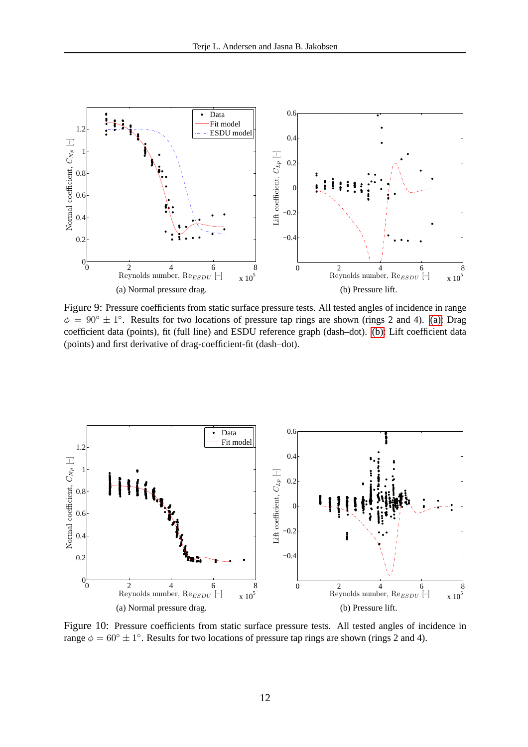<span id="page-11-2"></span>

<span id="page-11-4"></span><span id="page-11-0"></span>Figure 9: Pressure coefficients from static surface pressure tests. All tested angles of incidence in range  $\phi = 90^\circ \pm 1^\circ$ . Results for two locations of pressure tap rings are shown (rings 2 and 4). [\(a\):](#page-11-2) Drag coefficient data (points), fit (full line) and ESDU reference graph (dash–dot). [\(b\):](#page-11-4) Lift coefficient data (points) and first derivative of drag-coefficient-fit (dash–dot).

<span id="page-11-3"></span>

<span id="page-11-1"></span>Figure 10: Pressure coefficients from static surface pressure tests. All tested angles of incidence in range  $\phi = 60^\circ \pm 1^\circ$ . Results for two locations of pressure tap rings are shown (rings 2 and 4).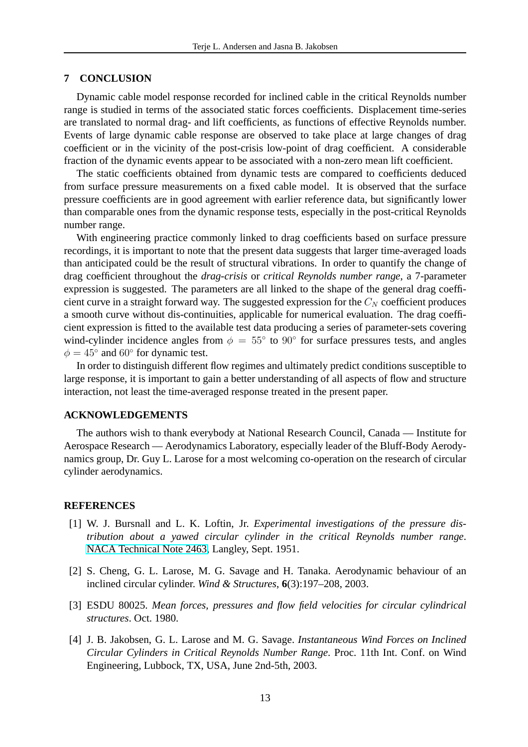### **7 CONCLUSION**

Dynamic cable model response recorded for inclined cable in the critical Reynolds number range is studied in terms of the associated static forces coefficients. Displacement time-series are translated to normal drag- and lift coefficients, as functions of effective Reynolds number. Events of large dynamic cable response are observed to take place at large changes of drag coefficient or in the vicinity of the post-crisis low-point of drag coefficient. A considerable fraction of the dynamic events appear to be associated with a non-zero mean lift coefficient.

The static coefficients obtained from dynamic tests are compared to coefficients deduced from surface pressure measurements on a fixed cable model. It is observed that the surface pressure coefficients are in good agreement with earlier reference data, but significantly lower than comparable ones from the dynamic response tests, especially in the post-critical Reynolds number range.

With engineering practice commonly linked to drag coefficients based on surface pressure recordings, it is important to note that the present data suggests that larger time-averaged loads than anticipated could be the result of structural vibrations. In order to quantify the change of drag coefficient throughout the *drag-crisis* or *critical Reynolds number range*, a 7-parameter expression is suggested. The parameters are all linked to the shape of the general drag coefficient curve in a straight forward way. The suggested expression for the  $C<sub>N</sub>$  coefficient produces a smooth curve without dis-continuities, applicable for numerical evaluation. The drag coefficient expression is fitted to the available test data producing a series of parameter-sets covering wind-cylinder incidence angles from  $\phi = 55^{\circ}$  to 90° for surface pressures tests, and angles  $\phi = 45^{\circ}$  and 60° for dynamic test.

In order to distinguish different flow regimes and ultimately predict conditions susceptible to large response, it is important to gain a better understanding of all aspects of flow and structure interaction, not least the time-averaged response treated in the present paper.

#### **ACKNOWLEDGEMENTS**

The authors wish to thank everybody at National Research Council, Canada — Institute for Aerospace Research — Aerodynamics Laboratory, especially leader of the Bluff-Body Aerodynamics group, Dr. Guy L. Larose for a most welcoming co-operation on the research of circular cylinder aerodynamics.

#### <span id="page-12-3"></span>**REFERENCES**

- [1] W. J. Bursnall and L. K. Loftin, Jr. *Experimental investigations of the pressure distribution about a yawed circular cylinder in the critical Reynolds number range*. [NACA Technical Note 2463,](http://naca.central.cranfield.ac.uk/report.php?NID=4483) Langley, Sept. 1951.
- <span id="page-12-0"></span>[2] S. Cheng, G. L. Larose, M. G. Savage and H. Tanaka. Aerodynamic behaviour of an inclined circular cylinder. *Wind & Structures*, **6**(3):197–208, 2003.
- <span id="page-12-2"></span><span id="page-12-1"></span>[3] ESDU 80025. *Mean forces, pressures and flow field velocities for circular cylindrical structures*. Oct. 1980.
- [4] J. B. Jakobsen, G. L. Larose and M. G. Savage. *Instantaneous Wind Forces on Inclined Circular Cylinders in Critical Reynolds Number Range*. Proc. 11th Int. Conf. on Wind Engineering, Lubbock, TX, USA, June 2nd-5th, 2003.